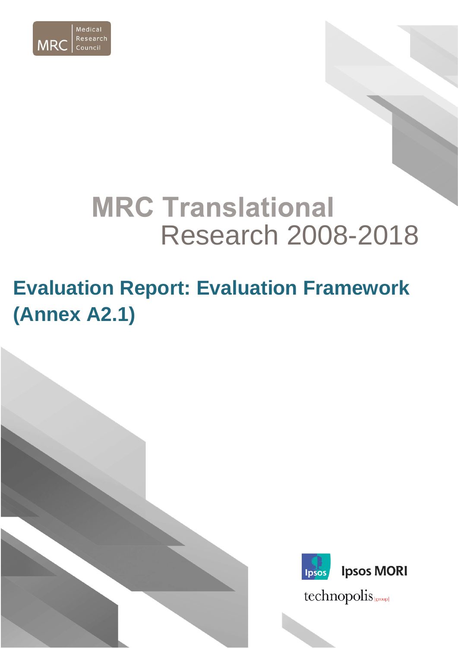

# **MRC Translational** Research 2008-2018

## **Evaluation Report: Evaluation Framework (Annex A2.1)**

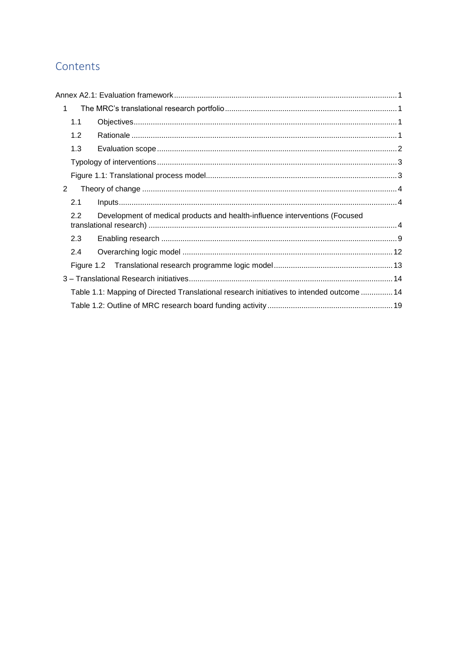## Contents

| $\mathbf 1$ |                                                                                           |  |
|-------------|-------------------------------------------------------------------------------------------|--|
| 1.1         |                                                                                           |  |
| 1.2         |                                                                                           |  |
| 1.3         |                                                                                           |  |
|             |                                                                                           |  |
|             |                                                                                           |  |
| 2           |                                                                                           |  |
| 2.1         |                                                                                           |  |
| 2.2         | Development of medical products and health-influence interventions (Focused               |  |
| 2.3         |                                                                                           |  |
| 2.4         |                                                                                           |  |
|             |                                                                                           |  |
|             |                                                                                           |  |
|             | Table 1.1: Mapping of Directed Translational research initiatives to intended outcome  14 |  |
|             |                                                                                           |  |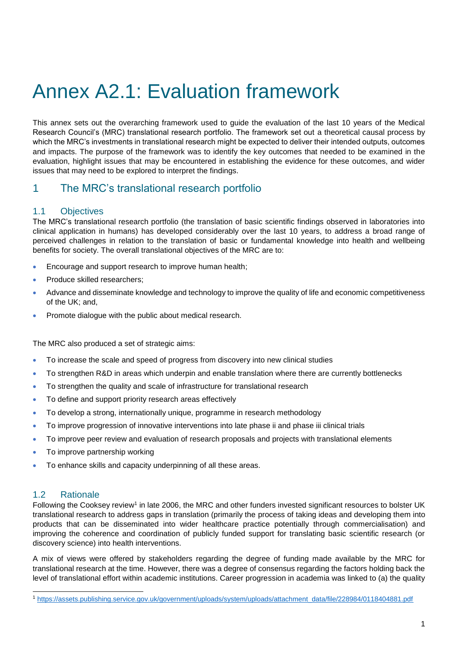## <span id="page-2-0"></span>Annex A2.1: Evaluation framework

This annex sets out the overarching framework used to guide the evaluation of the last 10 years of the Medical Research Council's (MRC) translational research portfolio. The framework set out a theoretical causal process by which the MRC's investments in translational research might be expected to deliver their intended outputs, outcomes and impacts. The purpose of the framework was to identify the key outcomes that needed to be examined in the evaluation, highlight issues that may be encountered in establishing the evidence for these outcomes, and wider issues that may need to be explored to interpret the findings.

### <span id="page-2-1"></span>1 The MRC's translational research portfolio

#### <span id="page-2-2"></span>1.1 Objectives

The MRC's translational research portfolio (the translation of basic scientific findings observed in laboratories into clinical application in humans) has developed considerably over the last 10 years, to address a broad range of perceived challenges in relation to the translation of basic or fundamental knowledge into health and wellbeing benefits for society. The overall translational objectives of the MRC are to:

- Encourage and support research to improve human health;
- Produce skilled researchers:
- Advance and disseminate knowledge and technology to improve the quality of life and economic competitiveness of the UK; and,
- Promote dialogue with the public about medical research.

The MRC also produced a set of strategic aims:

- To increase the scale and speed of progress from discovery into new clinical studies
- To strengthen R&D in areas which underpin and enable translation where there are currently bottlenecks
- To strengthen the quality and scale of infrastructure for translational research
- To define and support priority research areas effectively
- To develop a strong, internationally unique, programme in research methodology
- To improve progression of innovative interventions into late phase ii and phase iii clinical trials
- To improve peer review and evaluation of research proposals and projects with translational elements
- To improve partnership working
- To enhance skills and capacity underpinning of all these areas.

#### <span id="page-2-3"></span>1.2 Rationale

Following the Cooksey review<sup>1</sup> in late 2006, the MRC and other funders invested significant resources to bolster UK translational research to address gaps in translation (primarily the process of taking ideas and developing them into products that can be disseminated into wider healthcare practice potentially through commercialisation) and improving the coherence and coordination of publicly funded support for translating basic scientific research (or discovery science) into health interventions.

A mix of views were offered by stakeholders regarding the degree of funding made available by the MRC for translational research at the time. However, there was a degree of consensus regarding the factors holding back the level of translational effort within academic institutions. Career progression in academia was linked to (a) the quality

l <sup>1</sup> [https://assets.publishing.service.gov.uk/government/uploads/system/uploads/attachment\\_data/file/228984/0118404881.pdf](https://assets.publishing.service.gov.uk/government/uploads/system/uploads/attachment_data/file/228984/0118404881.pdf)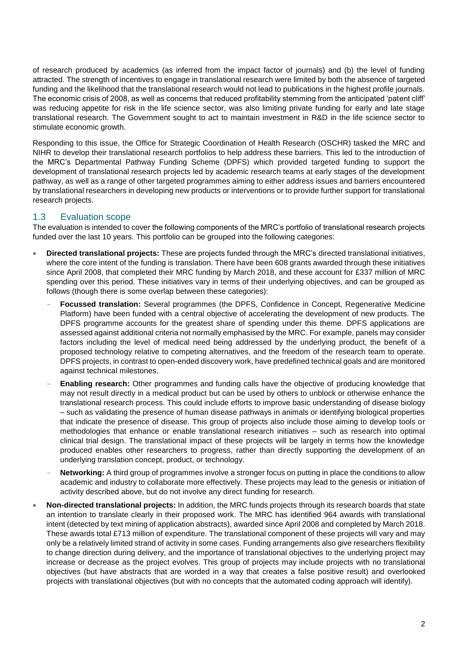of research produced by academics (as inferred from the impact factor of journals) and (b) the level of funding attracted. The strength of incentives to engage in translational research were limited by both the absence of targeted funding and the likelihood that the translational research would not lead to publications in the highest profile journals. The economic crisis of 2008, as well as concerns that reduced profitability stemming from the anticipated 'patent cliff' was reducing appetite for risk in the life science sector, was also limiting private funding for early and late stage translational research. The Government sought to act to maintain investment in R&D in the life science sector to stimulate economic growth.

Responding to this issue, the Office for Strategic Coordination of Health Research (OSCHR) tasked the MRC and NIHR to develop their translational research portfolios to help address these barriers. This led to the introduction of the MRC's Departmental Pathway Funding Scheme (DPFS) which provided targeted funding to support the development of translational research projects led by academic research teams at early stages of the development pathway, as well as a range of other targeted programmes aiming to either address issues and barriers encountered by translational researchers in developing new products or interventions or to provide further support for translational research projects.

#### <span id="page-3-0"></span>1.3 Evaluation scope

The evaluation is intended to cover the following components of the MRC's portfolio of translational research projects funded over the last 10 years. This portfolio can be grouped into the following categories:

- **Directed translational projects:** These are projects funded through the MRC's directed translational initiatives, where the core intent of the funding is translation. There have been 608 grants awarded through these initiatives since April 2008, that completed their MRC funding by March 2018, and these account for £337 million of MRC spending over this period. These initiatives vary in terms of their underlying objectives, and can be grouped as follows (though there is some overlap between these categories):
	- **Focussed translation:** Several programmes (the DPFS, Confidence in Concept, Regenerative Medicine Platform) have been funded with a central objective of accelerating the development of new products. The DPFS programme accounts for the greatest share of spending under this theme. DPFS applications are assessed against additional criteria not normally emphasised by the MRC. For example, panels may consider factors including the level of medical need being addressed by the underlying product, the benefit of a proposed technology relative to competing alternatives, and the freedom of the research team to operate. DPFS projects, in contrast to open-ended discovery work, have predefined technical goals and are monitored against technical milestones.
	- **Enabling research:** Other programmes and funding calls have the objective of producing knowledge that may not result directly in a medical product but can be used by others to unblock or otherwise enhance the translational research process. This could include efforts to improve basic understanding of disease biology – such as validating the presence of human disease pathways in animals or identifying biological properties that indicate the presence of disease. This group of projects also include those aiming to develop tools or methodologies that enhance or enable translational research initiatives – such as research into optimal clinical trial design. The translational impact of these projects will be largely in terms how the knowledge produced enables other researchers to progress, rather than directly supporting the development of an underlying translation concept, product, or technology.
	- **Networking:** A third group of programmes involve a stronger focus on putting in place the conditions to allow academic and industry to collaborate more effectively. These projects may lead to the genesis or initiation of activity described above, but do not involve any direct funding for research.
- **Non-directed translational projects:** In addition, the MRC funds projects through its research boards that state an intention to translate clearly in their proposed work. The MRC has identified 964 awards with translational intent (detected by text mining of application abstracts), awarded since April 2008 and completed by March 2018. These awards total £713 million of expenditure. The translational component of these projects will vary and may only be a relatively limited strand of activity in some cases. Funding arrangements also give researchers flexibility to change direction during delivery, and the importance of translational objectives to the underlying project may increase or decrease as the project evolves. This group of projects may include projects with no translational objectives (but have abstracts that are worded in a way that creates a false positive result) and overlooked projects with translational objectives (but with no concepts that the automated coding approach will identify).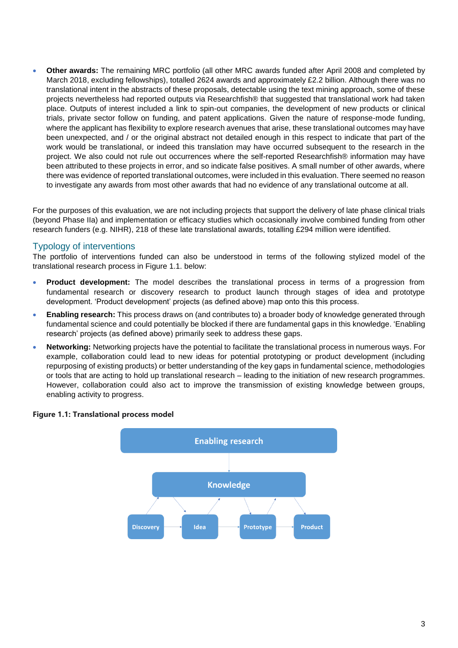• **Other awards:** The remaining MRC portfolio (all other MRC awards funded after April 2008 and completed by March 2018, excluding fellowships), totalled 2624 awards and approximately £2.2 billion. Although there was no translational intent in the abstracts of these proposals, detectable using the text mining approach, some of these projects nevertheless had reported outputs via Researchfish® that suggested that translational work had taken place. Outputs of interest included a link to spin-out companies, the development of new products or clinical trials, private sector follow on funding, and patent applications. Given the nature of response-mode funding, where the applicant has flexibility to explore research avenues that arise, these translational outcomes may have been unexpected, and / or the original abstract not detailed enough in this respect to indicate that part of the work would be translational, or indeed this translation may have occurred subsequent to the research in the project. We also could not rule out occurrences where the self-reported Researchfish® information may have been attributed to these projects in error, and so indicate false positives. A small number of other awards, where there was evidence of reported translational outcomes, were included in this evaluation. There seemed no reason to investigate any awards from most other awards that had no evidence of any translational outcome at all.

For the purposes of this evaluation, we are not including projects that support the delivery of late phase clinical trials (beyond Phase IIa) and implementation or efficacy studies which occasionally involve combined funding from other research funders (e.g. NIHR), 218 of these late translational awards, totalling £294 million were identified.

#### <span id="page-4-0"></span>Typology of interventions

The portfolio of interventions funded can also be understood in terms of the following stylized model of the translational research process in Figure 1.1. below:

- **Product development:** The model describes the translational process in terms of a progression from fundamental research or discovery research to product launch through stages of idea and prototype development. 'Product development' projects (as defined above) map onto this this process.
- **Enabling research:** This process draws on (and contributes to) a broader body of knowledge generated through fundamental science and could potentially be blocked if there are fundamental gaps in this knowledge. 'Enabling research' projects (as defined above) primarily seek to address these gaps.
- **Networking:** Networking projects have the potential to facilitate the translational process in numerous ways. For example, collaboration could lead to new ideas for potential prototyping or product development (including repurposing of existing products) or better understanding of the key gaps in fundamental science, methodologies or tools that are acting to hold up translational research – leading to the initiation of new research programmes. However, collaboration could also act to improve the transmission of existing knowledge between groups, enabling activity to progress.



#### <span id="page-4-1"></span>**Figure 1.1: Translational process model**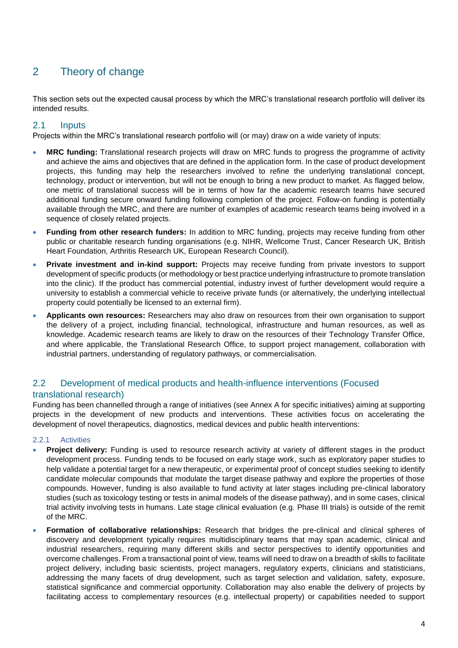## <span id="page-5-0"></span>2 Theory of change

This section sets out the expected causal process by which the MRC's translational research portfolio will deliver its intended results.

#### <span id="page-5-1"></span>2.1 Inputs

Projects within the MRC's translational research portfolio will (or may) draw on a wide variety of inputs:

- **MRC funding:** Translational research projects will draw on MRC funds to progress the programme of activity and achieve the aims and objectives that are defined in the application form. In the case of product development projects, this funding may help the researchers involved to refine the underlying translational concept, technology, product or intervention, but will not be enough to bring a new product to market. As flagged below, one metric of translational success will be in terms of how far the academic research teams have secured additional funding secure onward funding following completion of the project. Follow-on funding is potentially available through the MRC, and there are number of examples of academic research teams being involved in a sequence of closely related projects.
- **Funding from other research funders:** In addition to MRC funding, projects may receive funding from other public or charitable research funding organisations (e.g. NIHR, Wellcome Trust, Cancer Research UK, British Heart Foundation, Arthritis Research UK, European Research Council).
- **Private investment and in-kind support:** Projects may receive funding from private investors to support development of specific products (or methodology or best practice underlying infrastructure to promote translation into the clinic). If the product has commercial potential, industry invest of further development would require a university to establish a commercial vehicle to receive private funds (or alternatively, the underlying intellectual property could potentially be licensed to an external firm).
- **Applicants own resources:** Researchers may also draw on resources from their own organisation to support the delivery of a project, including financial, technological, infrastructure and human resources, as well as knowledge. Academic research teams are likely to draw on the resources of their Technology Transfer Office, and where applicable, the Translational Research Office, to support project management, collaboration with industrial partners, understanding of regulatory pathways, or commercialisation.

#### <span id="page-5-2"></span>2.2 Development of medical products and health-influence interventions (Focused translational research)

Funding has been channelled through a range of initiatives (see Annex A for specific initiatives) aiming at supporting projects in the development of new products and interventions. These activities focus on accelerating the development of novel therapeutics, diagnostics, medical devices and public health interventions:

#### 2.2.1 Activities

- **Project delivery:** Funding is used to resource research activity at variety of different stages in the product development process. Funding tends to be focused on early stage work, such as exploratory paper studies to help validate a potential target for a new therapeutic, or experimental proof of concept studies seeking to identify candidate molecular compounds that modulate the target disease pathway and explore the properties of those compounds. However, funding is also available to fund activity at later stages including pre-clinical laboratory studies (such as toxicology testing or tests in animal models of the disease pathway), and in some cases, clinical trial activity involving tests in humans. Late stage clinical evaluation (e.g. Phase III trials) is outside of the remit of the MRC.
- **Formation of collaborative relationships:** Research that bridges the pre-clinical and clinical spheres of discovery and development typically requires multidisciplinary teams that may span academic, clinical and industrial researchers, requiring many different skills and sector perspectives to identify opportunities and overcome challenges. From a transactional point of view, teams will need to draw on a breadth of skills to facilitate project delivery, including basic scientists, project managers, regulatory experts, clinicians and statisticians, addressing the many facets of drug development, such as target selection and validation, safety, exposure, statistical significance and commercial opportunity. Collaboration may also enable the delivery of projects by facilitating access to complementary resources (e.g. intellectual property) or capabilities needed to support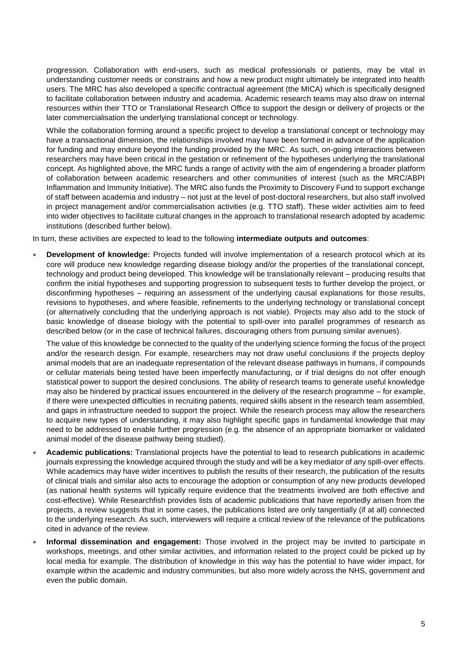progression. Collaboration with end-users, such as medical professionals or patients, may be vital in understanding customer needs or constrains and how a new product might ultimately be integrated into health users. The MRC has also developed a specific contractual agreement (the MICA) which is specifically designed to facilitate collaboration between industry and academia. Academic research teams may also draw on internal resources within their TTO or Translational Research Office to support the design or delivery of projects or the later commercialisation the underlying translational concept or technology.

While the collaboration forming around a specific project to develop a translational concept or technology may have a transactional dimension, the relationships involved may have been formed in advance of the application for funding and may endure beyond the funding provided by the MRC. As such, on-going interactions between researchers may have been critical in the gestation or refinement of the hypotheses underlying the translational concept. As highlighted above, the MRC funds a range of activity with the aim of engendering a broader platform of collaboration between academic researchers and other communities of interest (such as the MRC/ABPI Inflammation and Immunity Initiative). The MRC also funds the Proximity to Discovery Fund to support exchange of staff between academia and industry – not just at the level of post-doctoral researchers, but also staff involved in project management and/or commercialisation activities (e.g. TTO staff). These wider activities aim to feed into wider objectives to facilitate cultural changes in the approach to translational research adopted by academic institutions (described further below).

In turn, these activities are expected to lead to the following **intermediate outputs and outcomes**:

• **Development of knowledge:** Projects funded will involve implementation of a research protocol which at its core will produce new knowledge regarding disease biology and/or the properties of the translational concept, technology and product being developed. This knowledge will be translationally relevant – producing results that confirm the initial hypotheses and supporting progression to subsequent tests to further develop the project, or disconfirming hypotheses – requiring an assessment of the underlying causal explanations for those results, revisions to hypotheses, and where feasible, refinements to the underlying technology or translational concept (or alternatively concluding that the underlying approach is not viable). Projects may also add to the stock of basic knowledge of disease biology with the potential to spill-over into parallel programmes of research as described below (or in the case of technical failures, discouraging others from pursuing similar avenues).

The value of this knowledge be connected to the quality of the underlying science forming the focus of the project and/or the research design. For example, researchers may not draw useful conclusions if the projects deploy animal models that are an inadequate representation of the relevant disease pathways in humans, if compounds or cellular materials being tested have been imperfectly manufacturing, or if trial designs do not offer enough statistical power to support the desired conclusions. The ability of research teams to generate useful knowledge may also be hindered by practical issues encountered in the delivery of the research programme – for example, if there were unexpected difficulties in recruiting patients, required skills absent in the research team assembled, and gaps in infrastructure needed to support the project. While the research process may allow the researchers to acquire new types of understanding, it may also highlight specific gaps in fundamental knowledge that may need to be addressed to enable further progression (e.g. the absence of an appropriate biomarker or validated animal model of the disease pathway being studied).

- **Academic publications:** Translational projects have the potential to lead to research publications in academic journals expressing the knowledge acquired through the study and will be a key mediator of any spill-over effects. While academics may have wider incentives to publish the results of their research, the publication of the results of clinical trials and similar also acts to encourage the adoption or consumption of any new products developed (as national health systems will typically require evidence that the treatments involved are both effective and cost-effective). While Researchfish provides lists of academic publications that have reportedly arisen from the projects, a review suggests that in some cases, the publications listed are only tangentially (if at all) connected to the underlying research. As such, interviewers will require a critical review of the relevance of the publications cited in advance of the review.
- **Informal dissemination and engagement:** Those involved in the project may be invited to participate in workshops, meetings, and other similar activities, and information related to the project could be picked up by local media for example. The distribution of knowledge in this way has the potential to have wider impact, for example within the academic and industry communities, but also more widely across the NHS, government and even the public domain.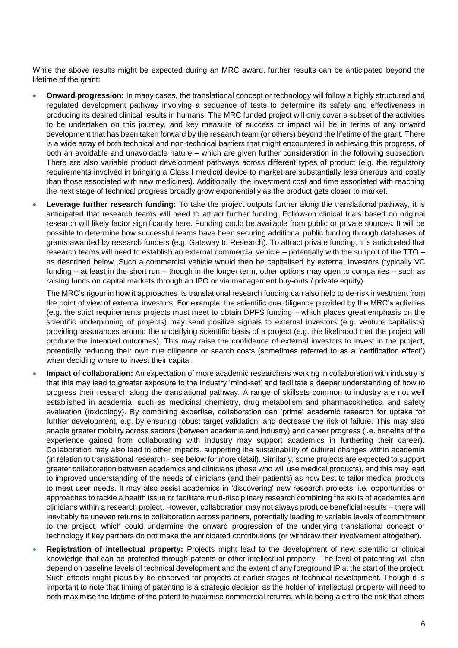While the above results might be expected during an MRC award, further results can be anticipated beyond the lifetime of the grant:

- **Onward progression:** In many cases, the translational concept or technology will follow a highly structured and regulated development pathway involving a sequence of tests to determine its safety and effectiveness in producing its desired clinical results in humans. The MRC funded project will only cover a subset of the activities to be undertaken on this journey, and key measure of success or impact will be in terms of any onward development that has been taken forward by the research team (or others) beyond the lifetime of the grant. There is a wide array of both technical and non-technical barriers that might encountered in achieving this progress, of both an avoidable and unavoidable nature – which are given further consideration in the following subsection. There are also variable product development pathways across different types of product (e.g. the regulatory requirements involved in bringing a Class I medical device to market are substantially less onerous and costly than those associated with new medicines). Additionally, the investment cost and time associated with reaching the next stage of technical progress broadly grow exponentially as the product gets closer to market.
- **Leverage further research funding:** To take the project outputs further along the translational pathway, it is anticipated that research teams will need to attract further funding. Follow-on clinical trials based on original research will likely factor significantly here. Funding could be available from public or private sources. It will be possible to determine how successful teams have been securing additional public funding through databases of grants awarded by research funders (e.g. Gateway to Research). To attract private funding, it is anticipated that research teams will need to establish an external commercial vehicle – potentially with the support of the TTO – as described below. Such a commercial vehicle would then be capitalised by external investors (typically VC funding – at least in the short run – though in the longer term, other options may open to companies – such as raising funds on capital markets through an IPO or via management buy-outs / private equity).

The MRC's rigour in how it approaches its translational research funding can also help to de-risk investment from the point of view of external investors. For example, the scientific due diligence provided by the MRC's activities (e.g. the strict requirements projects must meet to obtain DPFS funding – which places great emphasis on the scientific underpinning of projects) may send positive signals to external investors (e.g. venture capitalists) providing assurances around the underlying scientific basis of a project (e.g. the likelihood that the project will produce the intended outcomes). This may raise the confidence of external investors to invest in the project, potentially reducing their own due diligence or search costs (sometimes referred to as a 'certification effect') when deciding where to invest their capital.

- **Impact of collaboration:** An expectation of more academic researchers working in collaboration with industry is that this may lead to greater exposure to the industry 'mind-set' and facilitate a deeper understanding of how to progress their research along the translational pathway. A range of skillsets common to industry are not well established in academia, such as medicinal chemistry, drug metabolism and pharmacokinetics, and safety evaluation (toxicology). By combining expertise, collaboration can 'prime' academic research for uptake for further development, e.g. by ensuring robust target validation, and decrease the risk of failure. This may also enable greater mobility across sectors (between academia and industry) and career progress (i.e. benefits of the experience gained from collaborating with industry may support academics in furthering their career). Collaboration may also lead to other impacts, supporting the sustainability of cultural changes within academia (in relation to translational research - see below for more detail). Similarly, some projects are expected to support greater collaboration between academics and clinicians (those who will use medical products), and this may lead to improved understanding of the needs of clinicians (and their patients) as how best to tailor medical products to meet user needs. It may also assist academics in 'discovering' new research projects, i.e. opportunities or approaches to tackle a health issue or facilitate multi-disciplinary research combining the skills of academics and clinicians within a research project. However, collaboration may not always produce beneficial results – there will inevitably be uneven returns to collaboration across partners, potentially leading to variable levels of commitment to the project, which could undermine the onward progression of the underlying translational concept or technology if key partners do not make the anticipated contributions (or withdraw their involvement altogether).
- **Registration of intellectual property:** Projects might lead to the development of new scientific or clinical knowledge that can be protected through patents or other intellectual property. The level of patenting will also depend on baseline levels of technical development and the extent of any foreground IP at the start of the project. Such effects might plausibly be observed for projects at earlier stages of technical development. Though it is important to note that timing of patenting is a strategic decision as the holder of intellectual property will need to both maximise the lifetime of the patent to maximise commercial returns, while being alert to the risk that others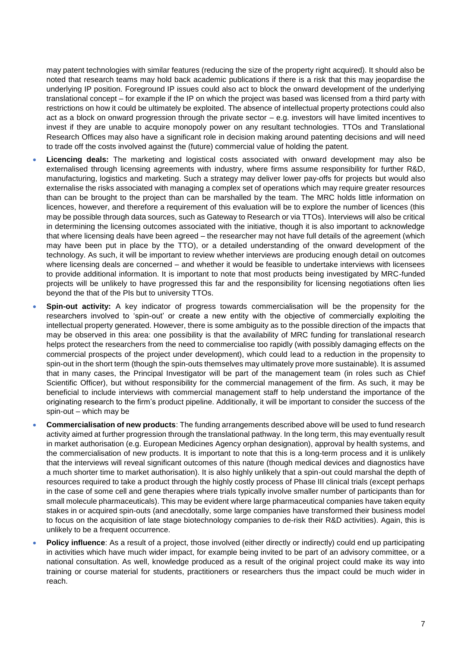may patent technologies with similar features (reducing the size of the property right acquired). It should also be noted that research teams may hold back academic publications if there is a risk that this may jeopardise the underlying IP position. Foreground IP issues could also act to block the onward development of the underlying translational concept – for example if the IP on which the project was based was licensed from a third party with restrictions on how it could be ultimately be exploited. The absence of intellectual property protections could also act as a block on onward progression through the private sector – e.g. investors will have limited incentives to invest if they are unable to acquire monopoly power on any resultant technologies. TTOs and Translational Research Offices may also have a significant role in decision making around patenting decisions and will need to trade off the costs involved against the (future) commercial value of holding the patent.

- **Licencing deals:** The marketing and logistical costs associated with onward development may also be externalised through licensing agreements with industry, where firms assume responsibility for further R&D, manufacturing, logistics and marketing. Such a strategy may deliver lower pay-offs for projects but would also externalise the risks associated with managing a complex set of operations which may require greater resources than can be brought to the project than can be marshalled by the team. The MRC holds little information on licences, however, and therefore a requirement of this evaluation will be to explore the number of licences (this may be possible through data sources, such as Gateway to Research or via TTOs). Interviews will also be critical in determining the licensing outcomes associated with the initiative, though it is also important to acknowledge that where licensing deals have been agreed – the researcher may not have full details of the agreement (which may have been put in place by the TTO), or a detailed understanding of the onward development of the technology. As such, it will be important to review whether interviews are producing enough detail on outcomes where licensing deals are concerned – and whether it would be feasible to undertake interviews with licensees to provide additional information. It is important to note that most products being investigated by MRC-funded projects will be unlikely to have progressed this far and the responsibility for licensing negotiations often lies beyond the that of the PIs but to university TTOs.
- **Spin-out activity:** A key indicator of progress towards commercialisation will be the propensity for the researchers involved to 'spin-out' or create a new entity with the objective of commercially exploiting the intellectual property generated. However, there is some ambiguity as to the possible direction of the impacts that may be observed in this area: one possibility is that the availability of MRC funding for translational research helps protect the researchers from the need to commercialise too rapidly (with possibly damaging effects on the commercial prospects of the project under development), which could lead to a reduction in the propensity to spin-out in the short term (though the spin-outs themselves may ultimately prove more sustainable). It is assumed that in many cases, the Principal Investigator will be part of the management team (in roles such as Chief Scientific Officer), but without responsibility for the commercial management of the firm. As such, it may be beneficial to include interviews with commercial management staff to help understand the importance of the originating research to the firm's product pipeline. Additionally, it will be important to consider the success of the spin-out – which may be
- **Commercialisation of new products**: The funding arrangements described above will be used to fund research activity aimed at further progression through the translational pathway. In the long term, this may eventually result in market authorisation (e.g. European Medicines Agency orphan designation), approval by health systems, and the commercialisation of new products. It is important to note that this is a long-term process and it is unlikely that the interviews will reveal significant outcomes of this nature (though medical devices and diagnostics have a much shorter time to market authorisation). It is also highly unlikely that a spin-out could marshal the depth of resources required to take a product through the highly costly process of Phase III clinical trials (except perhaps in the case of some cell and gene therapies where trials typically involve smaller number of participants than for small molecule pharmaceuticals). This may be evident where large pharmaceutical companies have taken equity stakes in or acquired spin-outs (and anecdotally, some large companies have transformed their business model to focus on the acquisition of late stage biotechnology companies to de-risk their R&D activities). Again, this is unlikely to be a frequent occurrence.
- **Policy influence**: As a result of a project, those involved (either directly or indirectly) could end up participating in activities which have much wider impact, for example being invited to be part of an advisory committee, or a national consultation. As well, knowledge produced as a result of the original project could make its way into training or course material for students, practitioners or researchers thus the impact could be much wider in reach.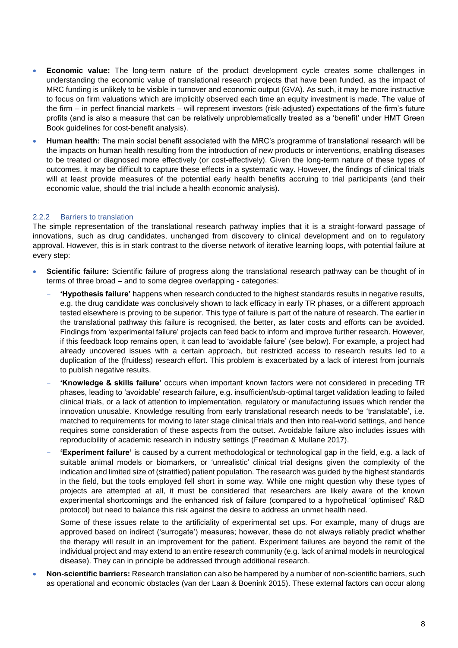- **Economic value:** The long-term nature of the product development cycle creates some challenges in understanding the economic value of translational research projects that have been funded, as the impact of MRC funding is unlikely to be visible in turnover and economic output (GVA). As such, it may be more instructive to focus on firm valuations which are implicitly observed each time an equity investment is made. The value of the firm – in perfect financial markets – will represent investors (risk-adjusted) expectations of the firm's future profits (and is also a measure that can be relatively unproblematically treated as a 'benefit' under HMT Green Book guidelines for cost-benefit analysis).
- **Human health:** The main social benefit associated with the MRC's programme of translational research will be the impacts on human health resulting from the introduction of new products or interventions, enabling diseases to be treated or diagnosed more effectively (or cost-effectively). Given the long-term nature of these types of outcomes, it may be difficult to capture these effects in a systematic way. However, the findings of clinical trials will at least provide measures of the potential early health benefits accruing to trial participants (and their economic value, should the trial include a health economic analysis).

#### 2.2.2 Barriers to translation

The simple representation of the translational research pathway implies that it is a straight-forward passage of innovations, such as drug candidates, unchanged from discovery to clinical development and on to regulatory approval. However, this is in stark contrast to the diverse network of iterative learning loops, with potential failure at every step:

- **Scientific failure:** Scientific failure of progress along the translational research pathway can be thought of in terms of three broad – and to some degree overlapping - categories:
	- **'Hypothesis failure'** happens when research conducted to the highest standards results in negative results, e.g. the drug candidate was conclusively shown to lack efficacy in early TR phases, or a different approach tested elsewhere is proving to be superior. This type of failure is part of the nature of research. The earlier in the translational pathway this failure is recognised, the better, as later costs and efforts can be avoided. Findings from 'experimental failure' projects can feed back to inform and improve further research. However, if this feedback loop remains open, it can lead to 'avoidable failure' (see below). For example, a project had already uncovered issues with a certain approach, but restricted access to research results led to a duplication of the (fruitless) research effort. This problem is exacerbated by a lack of interest from journals to publish negative results.
	- **'Knowledge & skills failure'** occurs when important known factors were not considered in preceding TR phases, leading to 'avoidable' research failure, e.g. insufficient/sub-optimal target validation leading to failed clinical trials, or a lack of attention to implementation, regulatory or manufacturing issues which render the innovation unusable. Knowledge resulting from early translational research needs to be 'translatable', i.e. matched to requirements for moving to later stage clinical trials and then into real-world settings, and hence requires some consideration of these aspects from the outset. Avoidable failure also includes issues with reproducibility of academic research in industry settings (Freedman & Mullane 2017).
	- **'Experiment failure'** is caused by a current methodological or technological gap in the field, e.g. a lack of suitable animal models or biomarkers, or 'unrealistic' clinical trial designs given the complexity of the indication and limited size of (stratified) patient population. The research was guided by the highest standards in the field, but the tools employed fell short in some way. While one might question why these types of projects are attempted at all, it must be considered that researchers are likely aware of the known experimental shortcomings and the enhanced risk of failure (compared to a hypothetical 'optimised' R&D protocol) but need to balance this risk against the desire to address an unmet health need.

Some of these issues relate to the artificiality of experimental set ups. For example, many of drugs are approved based on indirect ('surrogate') measures; however, these do not always reliably predict whether the therapy will result in an improvement for the patient. Experiment failures are beyond the remit of the individual project and may extend to an entire research community (e.g. lack of animal models in neurological disease). They can in principle be addressed through additional research.

• **Non-scientific barriers:** Research translation can also be hampered by a number of non-scientific barriers, such as operational and economic obstacles (van der Laan & Boenink 2015). These external factors can occur along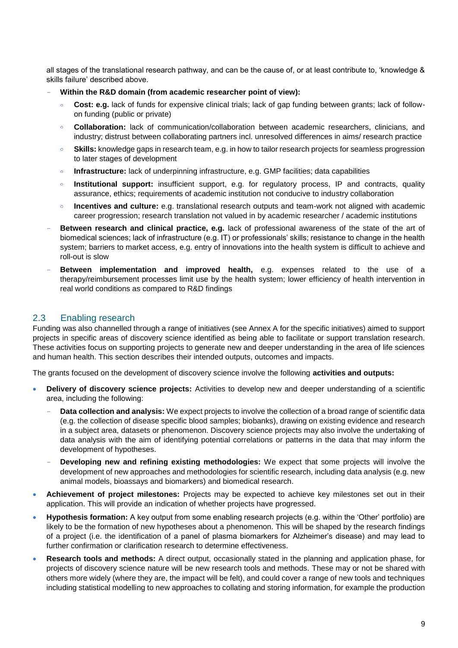all stages of the translational research pathway, and can be the cause of, or at least contribute to, 'knowledge & skills failure' described above.

- **Within the R&D domain (from academic researcher point of view):**
	- **Cost: e.g.** lack of funds for expensive clinical trials; lack of gap funding between grants; lack of followon funding (public or private)
	- **Collaboration:** lack of communication/collaboration between academic researchers, clinicians, and  $\circ$ industry; distrust between collaborating partners incl. unresolved differences in aims/ research practice
	- $\circ$ **Skills:** knowledge gaps in research team, e.g. in how to tailor research projects for seamless progression to later stages of development
	- **Infrastructure:** lack of underpinning infrastructure, e.g. GMP facilities; data capabilities  $\ddot{\circ}$
	- **Institutional support:** insufficient support, e.g. for regulatory process, IP and contracts, quality assurance, ethics; requirements of academic institution not conducive to industry collaboration
	- **Incentives and culture:** e.g. translational research outputs and team-work not aligned with academic career progression; research translation not valued in by academic researcher / academic institutions
- **Between research and clinical practice, e.g.** lack of professional awareness of the state of the art of biomedical sciences; lack of infrastructure (e.g. IT) or professionals' skills; resistance to change in the health system; barriers to market access, e.g. entry of innovations into the health system is difficult to achieve and roll-out is slow
- **Between implementation and improved health,** e.g. expenses related to the use of a therapy/reimbursement processes limit use by the health system; lower efficiency of health intervention in real world conditions as compared to R&D findings

#### <span id="page-10-0"></span>2.3 Enabling research

Funding was also channelled through a range of initiatives (see Annex A for the specific initiatives) aimed to support projects in specific areas of discovery science identified as being able to facilitate or support translation research. These activities focus on supporting projects to generate new and deeper understanding in the area of life sciences and human health. This section describes their intended outputs, outcomes and impacts.

The grants focused on the development of discovery science involve the following **activities and outputs:**

- **Delivery of discovery science projects:** Activities to develop new and deeper understanding of a scientific area, including the following:
	- **Data collection and analysis:** We expect projects to involve the collection of a broad range of scientific data (e.g. the collection of disease specific blood samples; biobanks), drawing on existing evidence and research in a subject area, datasets or phenomenon. Discovery science projects may also involve the undertaking of data analysis with the aim of identifying potential correlations or patterns in the data that may inform the development of hypotheses.
	- **Developing new and refining existing methodologies:** We expect that some projects will involve the development of new approaches and methodologies for scientific research, including data analysis (e.g. new animal models, bioassays and biomarkers) and biomedical research.
- **Achievement of project milestones:** Projects may be expected to achieve key milestones set out in their application. This will provide an indication of whether projects have progressed.
- **Hypothesis formation:** A key output from some enabling research projects (e.g. within the 'Other' portfolio) are likely to be the formation of new hypotheses about a phenomenon. This will be shaped by the research findings of a project (i.e. the identification of a panel of plasma biomarkers for Alzheimer's disease) and may lead to further confirmation or clarification research to determine effectiveness.
- **Research tools and methods:** A direct output, occasionally stated in the planning and application phase, for projects of discovery science nature will be new research tools and methods. These may or not be shared with others more widely (where they are, the impact will be felt), and could cover a range of new tools and techniques including statistical modelling to new approaches to collating and storing information, for example the production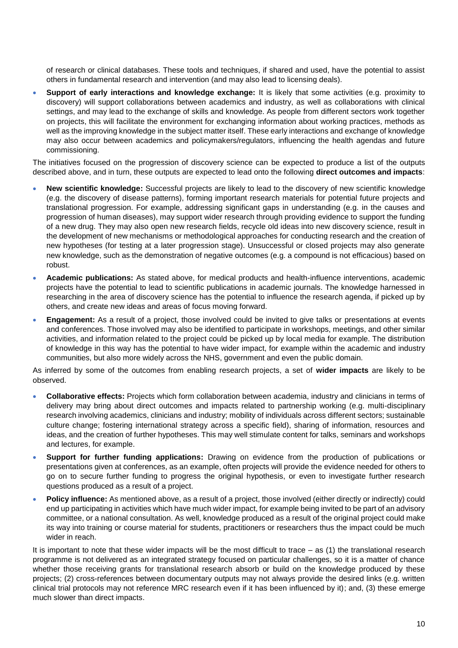of research or clinical databases. These tools and techniques, if shared and used, have the potential to assist others in fundamental research and intervention (and may also lead to licensing deals).

• **Support of early interactions and knowledge exchange:** It is likely that some activities (e.g. proximity to discovery) will support collaborations between academics and industry, as well as collaborations with clinical settings, and may lead to the exchange of skills and knowledge. As people from different sectors work together on projects, this will facilitate the environment for exchanging information about working practices, methods as well as the improving knowledge in the subject matter itself. These early interactions and exchange of knowledge may also occur between academics and policymakers/regulators, influencing the health agendas and future commissioning.

The initiatives focused on the progression of discovery science can be expected to produce a list of the outputs described above, and in turn, these outputs are expected to lead onto the following **direct outcomes and impacts**:

- **New scientific knowledge:** Successful projects are likely to lead to the discovery of new scientific knowledge (e.g. the discovery of disease patterns), forming important research materials for potential future projects and translational progression. For example, addressing significant gaps in understanding (e.g. in the causes and progression of human diseases), may support wider research through providing evidence to support the funding of a new drug. They may also open new research fields, recycle old ideas into new discovery science, result in the development of new mechanisms or methodological approaches for conducting research and the creation of new hypotheses (for testing at a later progression stage). Unsuccessful or closed projects may also generate new knowledge, such as the demonstration of negative outcomes (e.g. a compound is not efficacious) based on robust.
- **Academic publications:** As stated above, for medical products and health-influence interventions, academic projects have the potential to lead to scientific publications in academic journals. The knowledge harnessed in researching in the area of discovery science has the potential to influence the research agenda, if picked up by others, and create new ideas and areas of focus moving forward.
- **Engagement:** As a result of a project, those involved could be invited to give talks or presentations at events and conferences. Those involved may also be identified to participate in workshops, meetings, and other similar activities, and information related to the project could be picked up by local media for example. The distribution of knowledge in this way has the potential to have wider impact, for example within the academic and industry communities, but also more widely across the NHS, government and even the public domain.

As inferred by some of the outcomes from enabling research projects, a set of **wider impacts** are likely to be observed.

- **Collaborative effects:** Projects which form collaboration between academia, industry and clinicians in terms of delivery may bring about direct outcomes and impacts related to partnership working (e.g. multi-disciplinary research involving academics, clinicians and industry; mobility of individuals across different sectors; sustainable culture change; fostering international strategy across a specific field), sharing of information, resources and ideas, and the creation of further hypotheses. This may well stimulate content for talks, seminars and workshops and lectures, for example.
- **Support for further funding applications:** Drawing on evidence from the production of publications or presentations given at conferences, as an example, often projects will provide the evidence needed for others to go on to secure further funding to progress the original hypothesis, or even to investigate further research questions produced as a result of a project.
- **Policy influence:** As mentioned above, as a result of a project, those involved (either directly or indirectly) could end up participating in activities which have much wider impact, for example being invited to be part of an advisory committee, or a national consultation. As well, knowledge produced as a result of the original project could make its way into training or course material for students, practitioners or researchers thus the impact could be much wider in reach.

It is important to note that these wider impacts will be the most difficult to trace – as (1) the translational research programme is not delivered as an integrated strategy focused on particular challenges, so it is a matter of chance whether those receiving grants for translational research absorb or build on the knowledge produced by these projects; (2) cross-references between documentary outputs may not always provide the desired links (e.g. written clinical trial protocols may not reference MRC research even if it has been influenced by it); and, (3) these emerge much slower than direct impacts.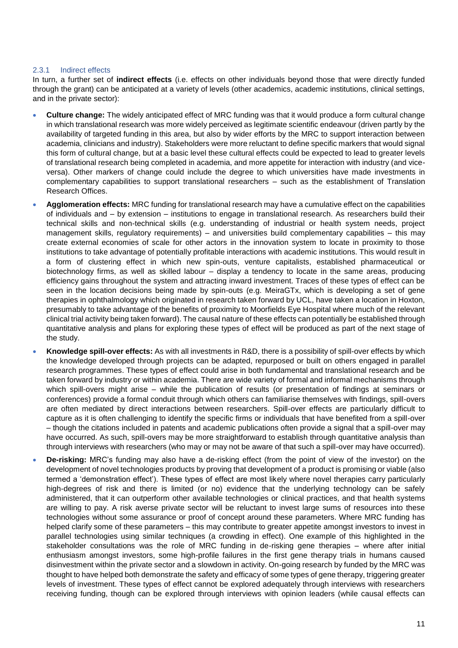#### 2.3.1 Indirect effects

In turn, a further set of **indirect effects** (i.e. effects on other individuals beyond those that were directly funded through the grant) can be anticipated at a variety of levels (other academics, academic institutions, clinical settings, and in the private sector):

- **Culture change:** The widely anticipated effect of MRC funding was that it would produce a form cultural change in which translational research was more widely perceived as legitimate scientific endeavour (driven partly by the availability of targeted funding in this area, but also by wider efforts by the MRC to support interaction between academia, clinicians and industry). Stakeholders were more reluctant to define specific markers that would signal this form of cultural change, but at a basic level these cultural effects could be expected to lead to greater levels of translational research being completed in academia, and more appetite for interaction with industry (and viceversa). Other markers of change could include the degree to which universities have made investments in complementary capabilities to support translational researchers – such as the establishment of Translation Research Offices.
- **Agglomeration effects:** MRC funding for translational research may have a cumulative effect on the capabilities of individuals and – by extension – institutions to engage in translational research. As researchers build their technical skills and non-technical skills (e.g. understanding of industrial or health system needs, project management skills, regulatory requirements) – and universities build complementary capabilities – this may create external economies of scale for other actors in the innovation system to locate in proximity to those institutions to take advantage of potentially profitable interactions with academic institutions. This would result in a form of clustering effect in which new spin-outs, venture capitalists, established pharmaceutical or biotechnology firms, as well as skilled labour – display a tendency to locate in the same areas, producing efficiency gains throughout the system and attracting inward investment. Traces of these types of effect can be seen in the location decisions being made by spin-outs (e.g. MeiraGTx, which is developing a set of gene therapies in ophthalmology which originated in research taken forward by UCL, have taken a location in Hoxton, presumably to take advantage of the benefits of proximity to Moorfields Eye Hospital where much of the relevant clinical trial activity being taken forward). The causal nature of these effects can potentially be established through quantitative analysis and plans for exploring these types of effect will be produced as part of the next stage of the study.
- **Knowledge spill-over effects:** As with all investments in R&D, there is a possibility of spill-over effects by which the knowledge developed through projects can be adapted, repurposed or built on others engaged in parallel research programmes. These types of effect could arise in both fundamental and translational research and be taken forward by industry or within academia. There are wide variety of formal and informal mechanisms through which spill-overs might arise – while the publication of results (or presentation of findings at seminars or conferences) provide a formal conduit through which others can familiarise themselves with findings, spill-overs are often mediated by direct interactions between researchers. Spill-over effects are particularly difficult to capture as it is often challenging to identify the specific firms or individuals that have benefited from a spill-over – though the citations included in patents and academic publications often provide a signal that a spill-over may have occurred. As such, spill-overs may be more straightforward to establish through quantitative analysis than through interviews with researchers (who may or may not be aware of that such a spill-over may have occurred).
- **De-risking:** MRC's funding may also have a de-risking effect (from the point of view of the investor) on the development of novel technologies products by proving that development of a product is promising or viable (also termed a 'demonstration effect'). These types of effect are most likely where novel therapies carry particularly high-degrees of risk and there is limited (or no) evidence that the underlying technology can be safely administered, that it can outperform other available technologies or clinical practices, and that health systems are willing to pay. A risk averse private sector will be reluctant to invest large sums of resources into these technologies without some assurance or proof of concept around these parameters. Where MRC funding has helped clarify some of these parameters – this may contribute to greater appetite amongst investors to invest in parallel technologies using similar techniques (a crowding in effect). One example of this highlighted in the stakeholder consultations was the role of MRC funding in de-risking gene therapies – where after initial enthusiasm amongst investors, some high-profile failures in the first gene therapy trials in humans caused disinvestment within the private sector and a slowdown in activity. On-going research by funded by the MRC was thought to have helped both demonstrate the safety and efficacy of some types of gene therapy, triggering greater levels of investment. These types of effect cannot be explored adequately through interviews with researchers receiving funding, though can be explored through interviews with opinion leaders (while causal effects can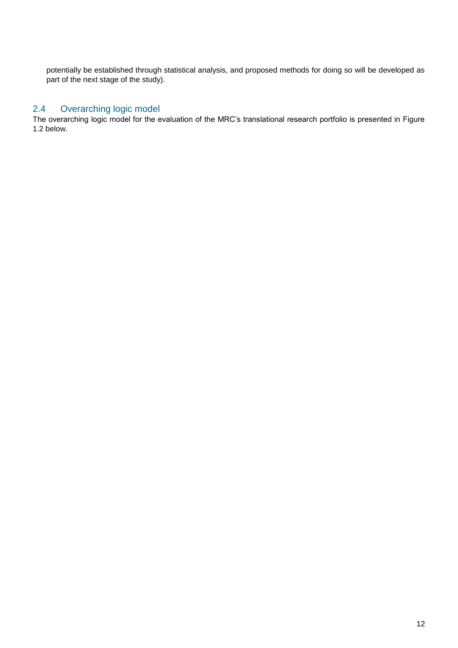potentially be established through statistical analysis, and proposed methods for doing so will be developed as part of the next stage of the study).

#### <span id="page-13-0"></span>2.4 Overarching logic model

The overarching logic model for the evaluation of the MRC's translational research portfolio is presented in Figure 1.2 below.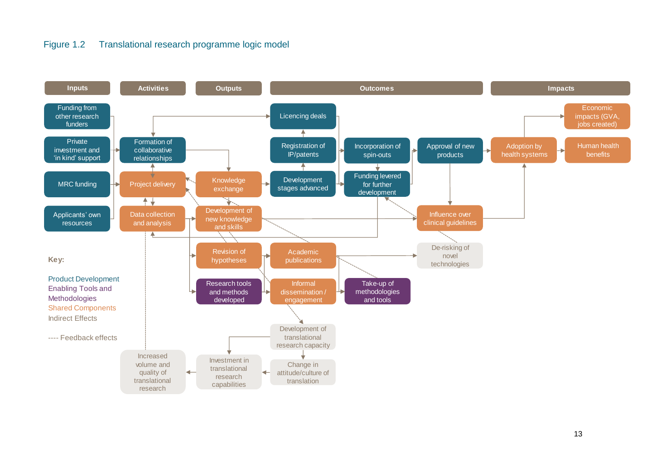#### Figure 1.2 Translational research programme logic model

<span id="page-14-0"></span>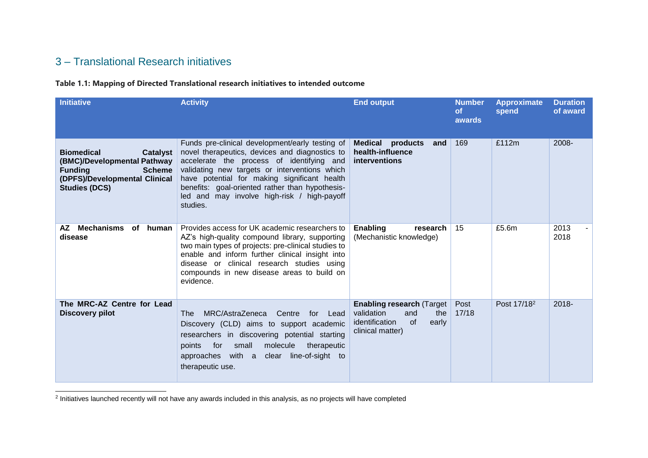### 3 – Translational Research initiatives

#### **Table 1.1: Mapping of Directed Translational research initiatives to intended outcome**

| <b>Initiative</b>                                                                                                                                               | <b>Activity</b>                                                                                                                                                                                                                                                                                                                                               | <b>End output</b>                                                                                                         | <b>Number</b><br><b>of</b><br>awards | <b>Approximate</b><br>spend | <b>Duration</b><br>of award |
|-----------------------------------------------------------------------------------------------------------------------------------------------------------------|---------------------------------------------------------------------------------------------------------------------------------------------------------------------------------------------------------------------------------------------------------------------------------------------------------------------------------------------------------------|---------------------------------------------------------------------------------------------------------------------------|--------------------------------------|-----------------------------|-----------------------------|
| <b>Biomedical</b><br><b>Catalyst</b><br>(BMC)/Developmental Pathway<br><b>Scheme</b><br><b>Funding</b><br>(DPFS)/Developmental Clinical<br><b>Studies (DCS)</b> | Funds pre-clinical development/early testing of<br>novel therapeutics, devices and diagnostics to<br>accelerate the process of identifying and<br>validating new targets or interventions which<br>have potential for making significant health<br>benefits: goal-oriented rather than hypothesis-<br>led and may involve high-risk / high-payoff<br>studies. | <b>Medical products</b><br>and<br>health-influence<br>interventions                                                       | 169                                  | £112m                       | 2008-                       |
| AZ Mechanisms<br>of human<br>disease                                                                                                                            | Provides access for UK academic researchers to<br>AZ's high-quality compound library, supporting<br>two main types of projects: pre-clinical studies to<br>enable and inform further clinical insight into<br>disease or clinical research studies using<br>compounds in new disease areas to build on<br>evidence.                                           | Enabling<br>research<br>(Mechanistic knowledge)                                                                           | 15                                   | £5.6m                       | 2013<br>2018                |
| The MRC-AZ Centre for Lead<br><b>Discovery pilot</b>                                                                                                            | MRC/AstraZeneca<br>Centre<br><b>The</b><br>for Lead<br>Discovery (CLD) aims to support academic<br>researchers in discovering potential starting<br>for<br>small<br>molecule<br>therapeutic<br>points<br>approaches with a<br>line-of-sight to<br>clear<br>therapeutic use.                                                                                   | <b>Enabling research (Target)</b><br>validation<br>and<br>the<br><b>of</b><br>identification<br>early<br>clinical matter) | Post<br>17/18                        | Post 17/18 <sup>2</sup>     | $2018 -$                    |

<span id="page-15-1"></span><span id="page-15-0"></span>2 Initiatives launched recently will not have any awards included in this analysis, as no projects will have completed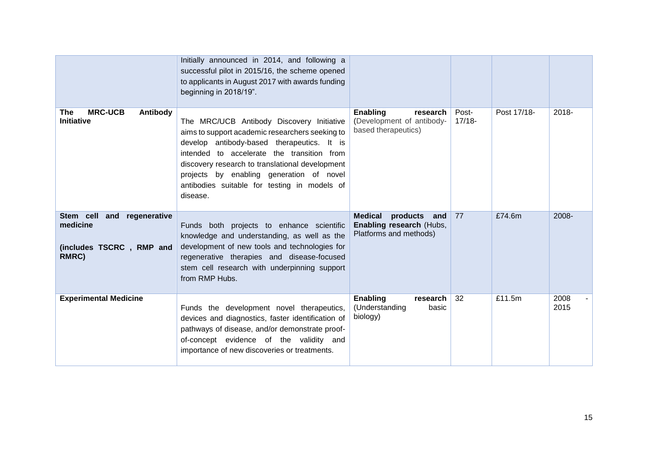|                                                                                | Initially announced in 2014, and following a<br>successful pilot in 2015/16, the scheme opened<br>to applicants in August 2017 with awards funding<br>beginning in 2018/19".                                                                                                                                                                        |                                                                                         |                    |             |              |
|--------------------------------------------------------------------------------|-----------------------------------------------------------------------------------------------------------------------------------------------------------------------------------------------------------------------------------------------------------------------------------------------------------------------------------------------------|-----------------------------------------------------------------------------------------|--------------------|-------------|--------------|
| <b>MRC-UCB</b><br>Antibody<br><b>The</b><br>Initiative                         | The MRC/UCB Antibody Discovery Initiative<br>aims to support academic researchers seeking to<br>develop antibody-based therapeutics. It is<br>intended to accelerate the transition from<br>discovery research to translational development<br>projects by enabling generation of novel<br>antibodies suitable for testing in models of<br>disease. | <b>Enabling</b><br>research<br>(Development of antibody-<br>based therapeutics)         | Post-<br>$17/18 -$ | Post 17/18- | 2018-        |
| Stem cell<br>and regenerative<br>medicine<br>(includes TSCRC, RMP and<br>RMRC) | Funds both projects to enhance scientific<br>knowledge and understanding, as well as the<br>development of new tools and technologies for<br>regenerative therapies and disease-focused<br>stem cell research with underpinning support<br>from RMP Hubs.                                                                                           | <b>Medical</b><br>products<br>and<br>Enabling research (Hubs,<br>Platforms and methods) | 77                 | £74.6m      | 2008-        |
| <b>Experimental Medicine</b>                                                   | Funds the development novel therapeutics,<br>devices and diagnostics, faster identification of<br>pathways of disease, and/or demonstrate proof-<br>of-concept evidence of the validity and<br>importance of new discoveries or treatments.                                                                                                         | Enabling<br>research<br>(Understanding<br>basic<br>biology)                             | 32                 | £11.5m      | 2008<br>2015 |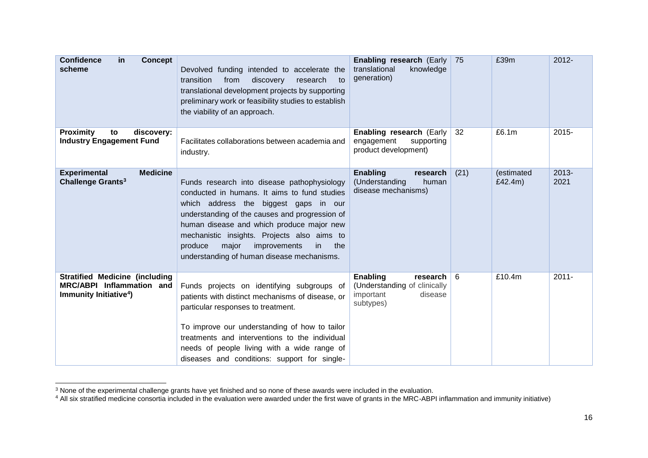| <b>Confidence</b><br><b>Concept</b><br><b>in</b><br>scheme                                               | Devolved funding intended to accelerate the<br>transition<br>from<br>discovery<br>research<br>to<br>translational development projects by supporting<br>preliminary work or feasibility studies to establish<br>the viability of an approach.                                                                                                                                         | Enabling research (Early<br>translational<br>knowledge<br>generation)                     | 75   | £39m                  | $2012 -$         |
|----------------------------------------------------------------------------------------------------------|---------------------------------------------------------------------------------------------------------------------------------------------------------------------------------------------------------------------------------------------------------------------------------------------------------------------------------------------------------------------------------------|-------------------------------------------------------------------------------------------|------|-----------------------|------------------|
| <b>Proximity</b><br>discovery:<br>to<br><b>Industry Engagement Fund</b>                                  | Facilitates collaborations between academia and<br>industry.                                                                                                                                                                                                                                                                                                                          | Enabling research (Early<br>engagement<br>supporting<br>product development)              | 32   | £6.1m                 | 2015-            |
| <b>Medicine</b><br><b>Experimental</b><br>Challenge Grants <sup>3</sup>                                  | Funds research into disease pathophysiology<br>conducted in humans. It aims to fund studies<br>which address the<br>biggest gaps in our<br>understanding of the causes and progression of<br>human disease and which produce major new<br>mechanistic insights. Projects also aims to<br>the<br>major<br>improvements<br>produce<br>in.<br>understanding of human disease mechanisms. | <b>Enabling</b><br>research<br>(Understanding<br>human<br>disease mechanisms)             | (21) | (estimated<br>£42.4m) | $2013 -$<br>2021 |
| <b>Stratified Medicine (including</b><br>MRC/ABPI Inflammation and<br>Immunity Initiative <sup>4</sup> ) | Funds projects on identifying subgroups of<br>patients with distinct mechanisms of disease, or<br>particular responses to treatment.<br>To improve our understanding of how to tailor<br>treatments and interventions to the individual<br>needs of people living with a wide range of<br>diseases and conditions: support for single-                                                | Enabling<br>research<br>(Understanding of clinically<br>important<br>disease<br>subtypes) | 6    | £10.4m                | $2011 -$         |

 $3$  None of the experimental challenge grants have yet finished and so none of these awards were included in the evaluation.

l

<sup>&</sup>lt;sup>4</sup> All six stratified medicine consortia included in the evaluation were awarded under the first wave of grants in the MRC-ABPI inflammation and immunity initiative)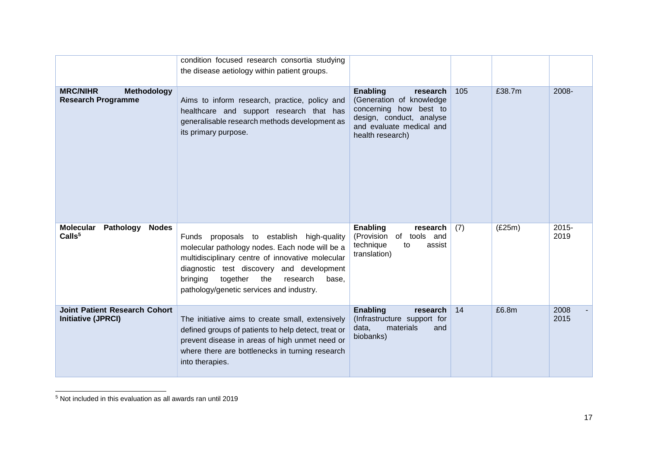|                                                                     | condition focused research consortia studying<br>the disease aetiology within patient groups.                                                                                                                                                                                                |                                                                                                                                                               |     |        |               |
|---------------------------------------------------------------------|----------------------------------------------------------------------------------------------------------------------------------------------------------------------------------------------------------------------------------------------------------------------------------------------|---------------------------------------------------------------------------------------------------------------------------------------------------------------|-----|--------|---------------|
| <b>MRC/NIHR</b><br>Methodology<br><b>Research Programme</b>         | Aims to inform research, practice, policy and<br>healthcare and support research that has<br>generalisable research methods development as<br>its primary purpose.                                                                                                                           | <b>Enabling</b><br>research<br>(Generation of knowledge<br>concerning how best to<br>design, conduct, analyse<br>and evaluate medical and<br>health research) | 105 | £38.7m | 2008-         |
| <b>Molecular</b><br>Pathology<br><b>Nodes</b><br>Calls <sup>5</sup> | Funds proposals to establish high-quality<br>molecular pathology nodes. Each node will be a<br>multidisciplinary centre of innovative molecular<br>diagnostic test discovery and development<br>together<br>the<br>bringing<br>research<br>base,<br>pathology/genetic services and industry. | <b>Enabling</b><br>research<br>(Provision of tools<br>and<br>technique<br>to<br>assist<br>translation)                                                        | (7) | (E25m) | 2015-<br>2019 |
| <b>Joint Patient Research Cohort</b><br><b>Initiative (JPRCI)</b>   | The initiative aims to create small, extensively<br>defined groups of patients to help detect, treat or<br>prevent disease in areas of high unmet need or<br>where there are bottlenecks in turning research<br>into therapies.                                                              | <b>Enabling</b><br>research<br>(Infrastructure support for<br>data,<br>materials<br>and<br>biobanks)                                                          | 14  | £6.8m  | 2008<br>2015  |

<sup>5</sup> Not included in this evaluation as all awards ran until 2019

l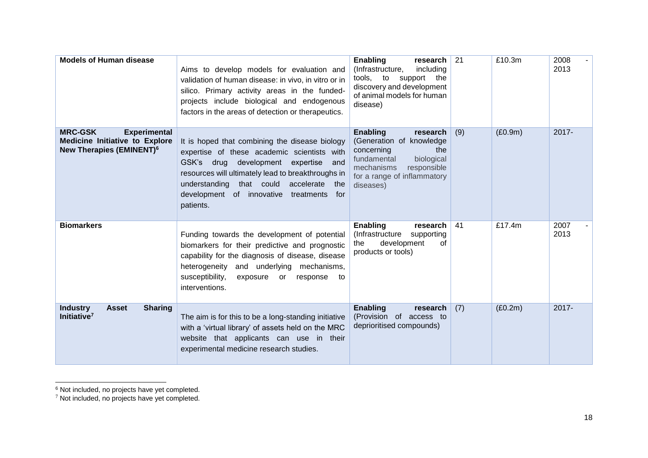| <b>Models of Human disease</b>                                                                                               | Aims to develop models for evaluation and<br>validation of human disease: in vivo, in vitro or in<br>silico. Primary activity areas in the funded-<br>projects include biological and endogenous<br>factors in the areas of detection or therapeutics.                                                      | <b>Enabling</b><br>research<br>(Infrastructure,<br>including<br>tools, to support the<br>discovery and development<br>of animal models for human<br>disease)                       | 21  | £10.3m    | 2008<br>2013 |
|------------------------------------------------------------------------------------------------------------------------------|-------------------------------------------------------------------------------------------------------------------------------------------------------------------------------------------------------------------------------------------------------------------------------------------------------------|------------------------------------------------------------------------------------------------------------------------------------------------------------------------------------|-----|-----------|--------------|
| <b>MRC-GSK</b><br><b>Experimental</b><br><b>Medicine Initiative to Explore</b><br><b>New Therapies (EMINENT)<sup>6</sup></b> | It is hoped that combining the disease biology<br>expertise of these academic scientists with<br>GSK's drug development expertise<br>and<br>resources will ultimately lead to breakthroughs in<br>that could accelerate the<br>understanding<br>development of innovative<br>treatments<br>for<br>patients. | <b>Enabling</b><br>research<br>(Generation of knowledge<br>concerning<br>the<br>fundamental<br>biological<br>mechanisms<br>responsible<br>for a range of inflammatory<br>diseases) | (9) | (E0.9m)   | $2017 -$     |
| <b>Biomarkers</b>                                                                                                            | Funding towards the development of potential<br>biomarkers for their predictive and prognostic<br>capability for the diagnosis of disease, disease<br>heterogeneity and underlying mechanisms,<br>susceptibility,<br>exposure or<br>response<br>to<br>interventions.                                        | Enabling<br>research<br>(Infrastructure<br>supporting<br>development<br>the<br>0f<br>products or tools)                                                                            | 41  | £17.4 $m$ | 2007<br>2013 |
| <b>Sharing</b><br><b>Industry</b><br><b>Asset</b><br>Initiative <sup>7</sup>                                                 | The aim is for this to be a long-standing initiative<br>with a 'virtual library' of assets held on the MRC<br>website that applicants can use in their<br>experimental medicine research studies.                                                                                                           | <b>Enabling</b><br>research<br>(Provision of access to<br>deprioritised compounds)                                                                                                 | (7) | (E0.2m)   | 2017-        |

l <sup>6</sup> Not included, no projects have yet completed.

 $7$  Not included, no projects have yet completed.